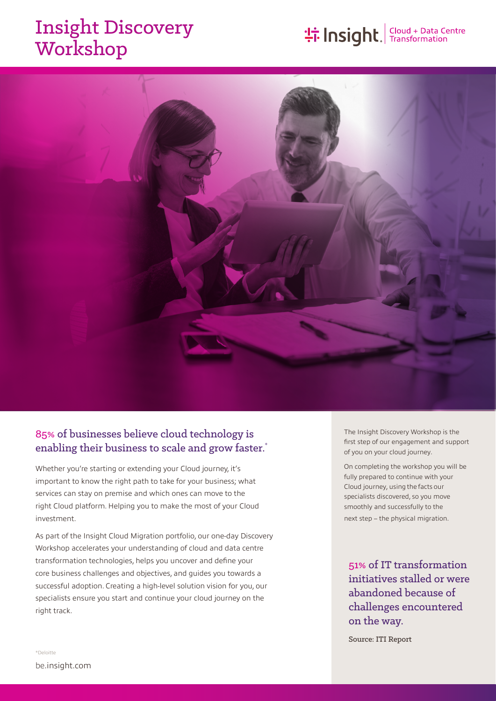# Insight Discovery Workshop

# **the Insight**. Transformation



## 85% of businesses believe cloud technology is enabling their business to scale and grow faster.<sup>\*</sup>

Whether you're starting or extending your Cloud journey, it's important to know the right path to take for your business; what services can stay on premise and which ones can move to the right Cloud platform. Helping you to make the most of your Cloud investment.

As part of the Insight Cloud Migration portfolio, our one-day Discovery Workshop accelerates your understanding of cloud and data centre transformation technologies, helps you uncover and define your core business challenges and objectives, and guides you towards a successful adoption. Creating a high-level solution vision for you, our specialists ensure you start and continue your cloud journey on the right track.

The Insight Discovery Workshop is the first step of our engagement and support of you on your cloud journey.

On completing the workshop you will be fully prepared to continue with your Cloud journey, using the facts our specialists discovered, so you move smoothly and successfully to the next step – the physical migration.

# 51% of IT transformation initiatives stalled or were abandoned because of challenges encountered on the way.

Source: ITI Report

\*Deloitte